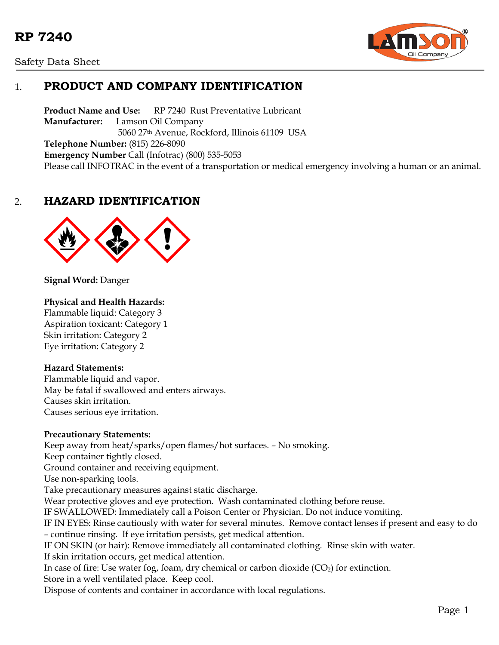



# 1. **PRODUCT AND COMPANY IDENTIFICATION**

**Product Name and Use:** RP 7240 Rust Preventative Lubricant **Manufacturer:** Lamson Oil Company 5060 27th Avenue, Rockford, Illinois 61109 USA **Telephone Number:** (815) 226-8090 **Emergency Number** Call (Infotrac) (800) 535-5053 Please call INFOTRAC in the event of a transportation or medical emergency involving a human or an animal.

# 2. **HAZARD IDENTIFICATION**



**Signal Word:** Danger

#### **Physical and Health Hazards:**

Flammable liquid: Category 3 Aspiration toxicant: Category 1 Skin irritation: Category 2 Eye irritation: Category 2

#### **Hazard Statements:**

Flammable liquid and vapor. May be fatal if swallowed and enters airways. Causes skin irritation. Causes serious eye irritation.

#### **Precautionary Statements:**

Keep away from heat/sparks/open flames/hot surfaces. – No smoking. Keep container tightly closed. Ground container and receiving equipment. Use non-sparking tools. Take precautionary measures against static discharge. Wear protective gloves and eye protection. Wash contaminated clothing before reuse. IF SWALLOWED: Immediately call a Poison Center or Physician. Do not induce vomiting. IF IN EYES: Rinse cautiously with water for several minutes. Remove contact lenses if present and easy to do – continue rinsing. If eye irritation persists, get medical attention. IF ON SKIN (or hair): Remove immediately all contaminated clothing. Rinse skin with water. If skin irritation occurs, get medical attention. In case of fire: Use water fog, foam, dry chemical or carbon dioxide  $(CO_2)$  for extinction. Store in a well ventilated place. Keep cool. Dispose of contents and container in accordance with local regulations.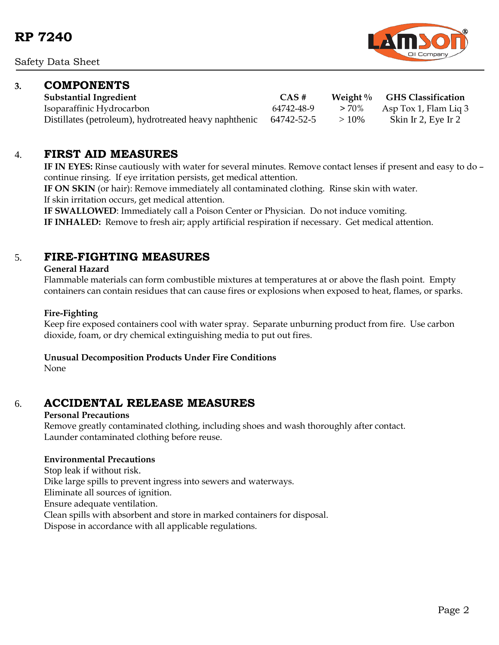Safety Data Sheet

## **3. COMPONENTS**

**Substantial Ingredient CAS # Weight % GHS Classification** Isoparaffinic Hydrocarbon 64742-48-9 > 70% Asp Tox 1, Flam Liq 3 Distillates (petroleum), hydrotreated heavy naphthenic  $64742-52-5$   $> 10\%$  Skin Ir 2, Eye Ir 2

## 4. **FIRST AID MEASURES**

**IF IN EYES:** Rinse cautiously with water for several minutes. Remove contact lenses if present and easy to do – continue rinsing. If eye irritation persists, get medical attention.

**IF ON SKIN** (or hair): Remove immediately all contaminated clothing. Rinse skin with water. If skin irritation occurs, get medical attention.

**IF SWALLOWED**: Immediately call a Poison Center or Physician. Do not induce vomiting. **IF INHALED:** Remove to fresh air; apply artificial respiration if necessary. Get medical attention.

# 5. **FIRE-FIGHTING MEASURES**

#### **General Hazard**

Flammable materials can form combustible mixtures at temperatures at or above the flash point. Empty containers can contain residues that can cause fires or explosions when exposed to heat, flames, or sparks.

#### **Fire-Fighting**

Keep fire exposed containers cool with water spray. Separate unburning product from fire. Use carbon dioxide, foam, or dry chemical extinguishing media to put out fires.

#### **Unusual Decomposition Products Under Fire Conditions**

None

## 6. **ACCIDENTAL RELEASE MEASURES**

#### **Personal Precautions**

Remove greatly contaminated clothing, including shoes and wash thoroughly after contact. Launder contaminated clothing before reuse.

#### **Environmental Precautions**

Stop leak if without risk. Dike large spills to prevent ingress into sewers and waterways. Eliminate all sources of ignition. Ensure adequate ventilation. Clean spills with absorbent and store in marked containers for disposal. Dispose in accordance with all applicable regulations.

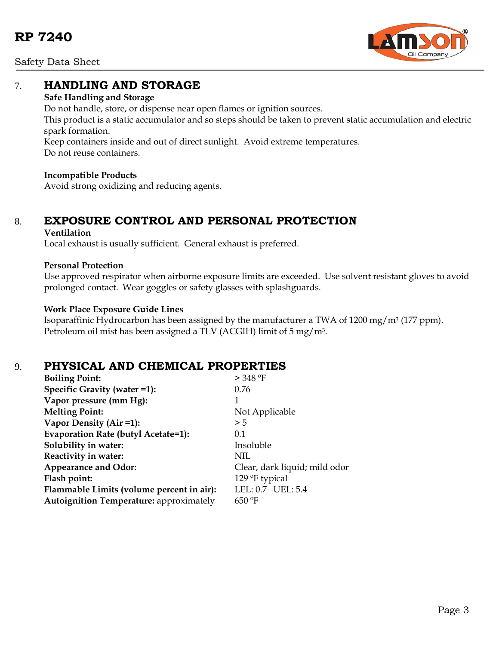



## 7. **HANDLING AND STORAGE**

#### **Safe Handling and Storage**

Do not handle, store, or dispense near open flames or ignition sources.

This product is a static accumulator and so steps should be taken to prevent static accumulation and electric spark formation.

Keep containers inside and out of direct sunlight. Avoid extreme temperatures. Do not reuse containers.

### **Incompatible Products**

Avoid strong oxidizing and reducing agents.

# 8. **EXPOSURE CONTROL AND PERSONAL PROTECTION**

#### **Ventilation**

Local exhaust is usually sufficient. General exhaust is preferred.

#### **Personal Protection**

Use approved respirator when airborne exposure limits are exceeded. Use solvent resistant gloves to avoid prolonged contact. Wear goggles or safety glasses with splashguards.

### **Work Place Exposure Guide Lines**

Isoparaffinic Hydrocarbon has been assigned by the manufacturer a TWA of 1200 mg/m3 (177 ppm). Petroleum oil mist has been assigned a TLV (ACGIH) limit of 5 mg/m3.

## 9. **PHYSICAL AND CHEMICAL PROPERTIES**

| Specific Gravity (water =1):<br>0.76<br>Vapor pressure (mm Hg):<br>1<br><b>Melting Point:</b><br>Not Applicable<br>Vapor Density (Air =1):<br>> 5<br>Evaporation Rate (butyl Acetate=1):<br>0.1<br>Solubility in water:<br>Insoluble<br>Reactivity in water:<br>NIL<br><b>Appearance and Odor:</b><br>Clear, dark liquid; mild odor<br>129 <sup>o</sup> F typical<br>Flash point:<br>LEL: 0.7 UEL: 5.4<br>Flammable Limits (volume percent in air):<br>$650$ °F<br><b>Autoignition Temperature:</b> approximately | <b>Boiling Point:</b> | $>$ 348 °F |
|-------------------------------------------------------------------------------------------------------------------------------------------------------------------------------------------------------------------------------------------------------------------------------------------------------------------------------------------------------------------------------------------------------------------------------------------------------------------------------------------------------------------|-----------------------|------------|
|                                                                                                                                                                                                                                                                                                                                                                                                                                                                                                                   |                       |            |
|                                                                                                                                                                                                                                                                                                                                                                                                                                                                                                                   |                       |            |
|                                                                                                                                                                                                                                                                                                                                                                                                                                                                                                                   |                       |            |
|                                                                                                                                                                                                                                                                                                                                                                                                                                                                                                                   |                       |            |
|                                                                                                                                                                                                                                                                                                                                                                                                                                                                                                                   |                       |            |
|                                                                                                                                                                                                                                                                                                                                                                                                                                                                                                                   |                       |            |
|                                                                                                                                                                                                                                                                                                                                                                                                                                                                                                                   |                       |            |
|                                                                                                                                                                                                                                                                                                                                                                                                                                                                                                                   |                       |            |
|                                                                                                                                                                                                                                                                                                                                                                                                                                                                                                                   |                       |            |
|                                                                                                                                                                                                                                                                                                                                                                                                                                                                                                                   |                       |            |
|                                                                                                                                                                                                                                                                                                                                                                                                                                                                                                                   |                       |            |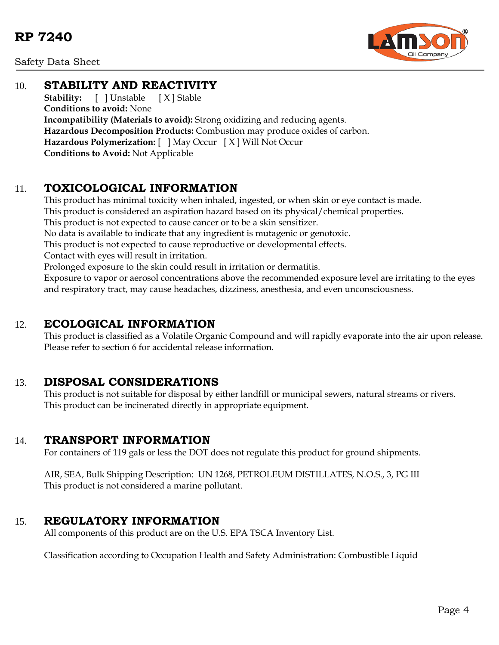

Safety Data Sheet

## 10. **STABILITY AND REACTIVITY**

**Stability:** [ ] Unstable [ X ] Stable **Conditions to avoid:** None **Incompatibility (Materials to avoid):** Strong oxidizing and reducing agents. **Hazardous Decomposition Products:** Combustion may produce oxides of carbon. **Hazardous Polymerization:** [ ] May Occur [ X ] Will Not Occur **Conditions to Avoid:** Not Applicable

# 11. **TOXICOLOGICAL INFORMATION**

This product has minimal toxicity when inhaled, ingested, or when skin or eye contact is made. This product is considered an aspiration hazard based on its physical/chemical properties. This product is not expected to cause cancer or to be a skin sensitizer. No data is available to indicate that any ingredient is mutagenic or genotoxic. This product is not expected to cause reproductive or developmental effects. Contact with eyes will result in irritation. Prolonged exposure to the skin could result in irritation or dermatitis. Exposure to vapor or aerosol concentrations above the recommended exposure level are irritating to the eyes

and respiratory tract, may cause headaches, dizziness, anesthesia, and even unconsciousness.

## 12. **ECOLOGICAL INFORMATION**

This product is classified as a Volatile Organic Compound and will rapidly evaporate into the air upon release. Please refer to section 6 for accidental release information.

## 13. **DISPOSAL CONSIDERATIONS**

This product is not suitable for disposal by either landfill or municipal sewers, natural streams or rivers. This product can be incinerated directly in appropriate equipment.

## 14. **TRANSPORT INFORMATION**

For containers of 119 gals or less the DOT does not regulate this product for ground shipments.

AIR, SEA, Bulk Shipping Description: UN 1268, PETROLEUM DISTILLATES, N.O.S., 3, PG III This product is not considered a marine pollutant.

## 15. **REGULATORY INFORMATION**

All components of this product are on the U.S. EPA TSCA Inventory List.

Classification according to Occupation Health and Safety Administration: Combustible Liquid